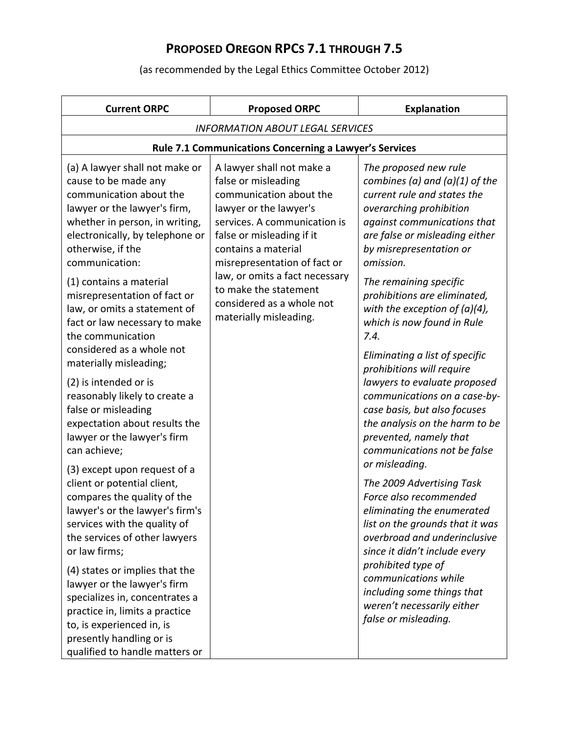| <b>Current ORPC</b>                                                                                                                                                                                                                                                                                                                                                                                                                             | <b>Proposed ORPC</b>                                                                                                                                                                                                                                                                                                                        | <b>Explanation</b>                                                                                                                                                                                                                                                                                                                                                                                                            |
|-------------------------------------------------------------------------------------------------------------------------------------------------------------------------------------------------------------------------------------------------------------------------------------------------------------------------------------------------------------------------------------------------------------------------------------------------|---------------------------------------------------------------------------------------------------------------------------------------------------------------------------------------------------------------------------------------------------------------------------------------------------------------------------------------------|-------------------------------------------------------------------------------------------------------------------------------------------------------------------------------------------------------------------------------------------------------------------------------------------------------------------------------------------------------------------------------------------------------------------------------|
| <b>INFORMATION ABOUT LEGAL SERVICES</b>                                                                                                                                                                                                                                                                                                                                                                                                         |                                                                                                                                                                                                                                                                                                                                             |                                                                                                                                                                                                                                                                                                                                                                                                                               |
|                                                                                                                                                                                                                                                                                                                                                                                                                                                 | Rule 7.1 Communications Concerning a Lawyer's Services                                                                                                                                                                                                                                                                                      |                                                                                                                                                                                                                                                                                                                                                                                                                               |
| (a) A lawyer shall not make or<br>cause to be made any<br>communication about the<br>lawyer or the lawyer's firm,<br>whether in person, in writing,<br>electronically, by telephone or<br>otherwise, if the<br>communication:<br>(1) contains a material<br>misrepresentation of fact or<br>law, or omits a statement of<br>fact or law necessary to make<br>the communication<br>considered as a whole not<br>materially misleading;           | A lawyer shall not make a<br>false or misleading<br>communication about the<br>lawyer or the lawyer's<br>services. A communication is<br>false or misleading if it<br>contains a material<br>misrepresentation of fact or<br>law, or omits a fact necessary<br>to make the statement<br>considered as a whole not<br>materially misleading. | The proposed new rule<br>combines (a) and (a)(1) of the<br>current rule and states the<br>overarching prohibition<br>against communications that<br>are false or misleading either<br>by misrepresentation or<br>omission.<br>The remaining specific<br>prohibitions are eliminated,<br>with the exception of $(a)(4)$ ,<br>which is now found in Rule<br>7.4.<br>Eliminating a list of specific<br>prohibitions will require |
| (2) is intended or is<br>reasonably likely to create a<br>false or misleading<br>expectation about results the<br>lawyer or the lawyer's firm<br>can achieve;                                                                                                                                                                                                                                                                                   |                                                                                                                                                                                                                                                                                                                                             | lawyers to evaluate proposed<br>communications on a case-by-<br>case basis, but also focuses<br>the analysis on the harm to be<br>prevented, namely that<br>communications not be false<br>or misleading.                                                                                                                                                                                                                     |
| (3) except upon request of a<br>client or potential client,<br>compares the quality of the<br>lawyer's or the lawyer's firm's<br>services with the quality of<br>the services of other lawyers<br>or law firms;<br>(4) states or implies that the<br>lawyer or the lawyer's firm<br>specializes in, concentrates a<br>practice in, limits a practice<br>to, is experienced in, is<br>presently handling or is<br>qualified to handle matters or |                                                                                                                                                                                                                                                                                                                                             | The 2009 Advertising Task<br>Force also recommended<br>eliminating the enumerated<br>list on the grounds that it was<br>overbroad and underinclusive<br>since it didn't include every<br>prohibited type of<br>communications while<br>including some things that<br>weren't necessarily either<br>false or misleading.                                                                                                       |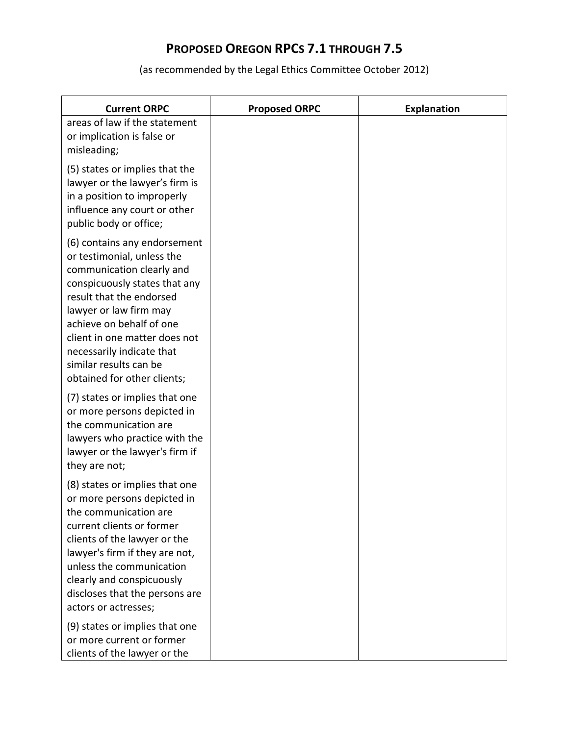| <b>Current ORPC</b>                                                                                                                                                                                                                                                                                                               | <b>Proposed ORPC</b> | <b>Explanation</b> |
|-----------------------------------------------------------------------------------------------------------------------------------------------------------------------------------------------------------------------------------------------------------------------------------------------------------------------------------|----------------------|--------------------|
| areas of law if the statement<br>or implication is false or<br>misleading;                                                                                                                                                                                                                                                        |                      |                    |
| (5) states or implies that the<br>lawyer or the lawyer's firm is<br>in a position to improperly<br>influence any court or other<br>public body or office;                                                                                                                                                                         |                      |                    |
| (6) contains any endorsement<br>or testimonial, unless the<br>communication clearly and<br>conspicuously states that any<br>result that the endorsed<br>lawyer or law firm may<br>achieve on behalf of one<br>client in one matter does not<br>necessarily indicate that<br>similar results can be<br>obtained for other clients; |                      |                    |
| (7) states or implies that one<br>or more persons depicted in<br>the communication are<br>lawyers who practice with the<br>lawyer or the lawyer's firm if<br>they are not;                                                                                                                                                        |                      |                    |
| (8) states or implies that one<br>or more persons depicted in<br>the communication are<br>current clients or former<br>clients of the lawyer or the<br>lawyer's firm if they are not,<br>unless the communication<br>clearly and conspicuously<br>discloses that the persons are<br>actors or actresses;                          |                      |                    |
| (9) states or implies that one<br>or more current or former<br>clients of the lawyer or the                                                                                                                                                                                                                                       |                      |                    |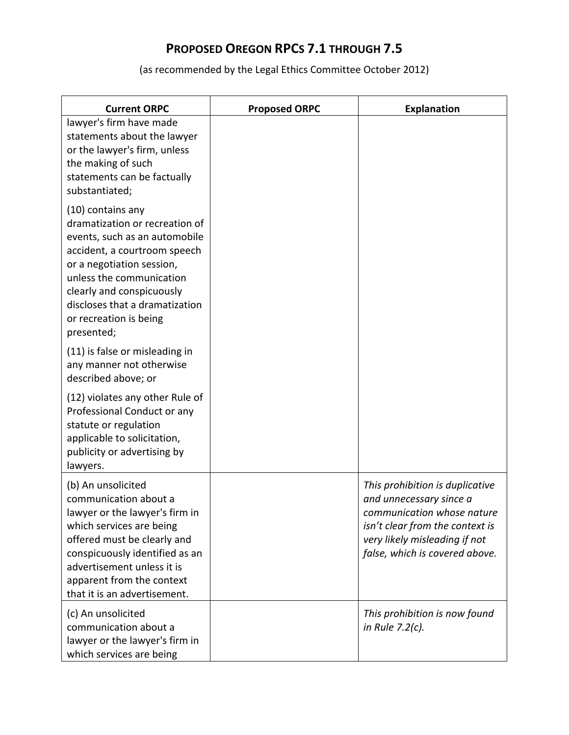| <b>Current ORPC</b>                                                                                                                                                                                                                                                                  | <b>Proposed ORPC</b> | <b>Explanation</b>                                                                                                                                                                             |
|--------------------------------------------------------------------------------------------------------------------------------------------------------------------------------------------------------------------------------------------------------------------------------------|----------------------|------------------------------------------------------------------------------------------------------------------------------------------------------------------------------------------------|
| lawyer's firm have made<br>statements about the lawyer<br>or the lawyer's firm, unless<br>the making of such<br>statements can be factually<br>substantiated;                                                                                                                        |                      |                                                                                                                                                                                                |
| (10) contains any<br>dramatization or recreation of<br>events, such as an automobile<br>accident, a courtroom speech<br>or a negotiation session,<br>unless the communication<br>clearly and conspicuously<br>discloses that a dramatization<br>or recreation is being<br>presented; |                      |                                                                                                                                                                                                |
| (11) is false or misleading in<br>any manner not otherwise<br>described above; or                                                                                                                                                                                                    |                      |                                                                                                                                                                                                |
| (12) violates any other Rule of<br>Professional Conduct or any<br>statute or regulation<br>applicable to solicitation,<br>publicity or advertising by<br>lawyers.                                                                                                                    |                      |                                                                                                                                                                                                |
| (b) An unsolicited<br>communication about a<br>lawyer or the lawyer's firm in<br>which services are being<br>offered must be clearly and<br>conspicuously identified as an<br>advertisement unless it is<br>apparent from the context<br>that it is an advertisement.                |                      | This prohibition is duplicative<br>and unnecessary since a<br>communication whose nature<br>isn't clear from the context is<br>very likely misleading if not<br>false, which is covered above. |
| (c) An unsolicited<br>communication about a<br>lawyer or the lawyer's firm in<br>which services are being                                                                                                                                                                            |                      | This prohibition is now found<br>in Rule 7.2(c).                                                                                                                                               |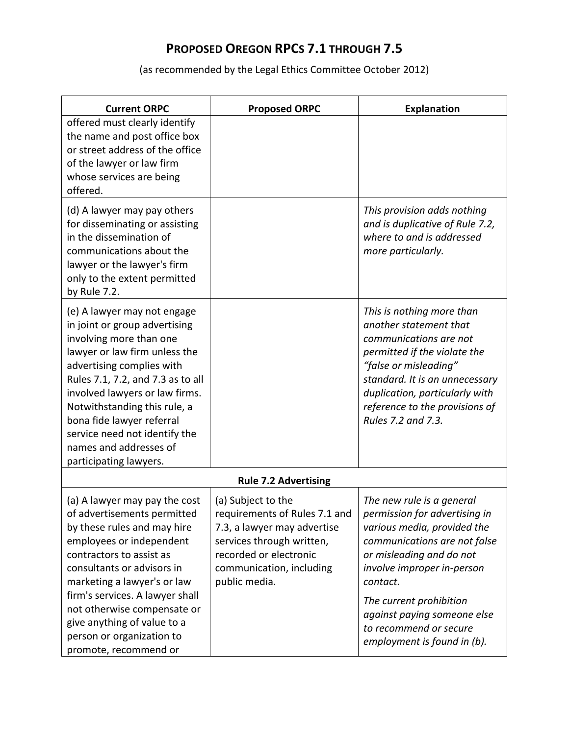| <b>Current ORPC</b>                                                                                                                                                                                                                                                                                                                                                            | <b>Proposed ORPC</b>                                                                                                                                                                   | <b>Explanation</b>                                                                                                                                                                                                                                                                                                 |
|--------------------------------------------------------------------------------------------------------------------------------------------------------------------------------------------------------------------------------------------------------------------------------------------------------------------------------------------------------------------------------|----------------------------------------------------------------------------------------------------------------------------------------------------------------------------------------|--------------------------------------------------------------------------------------------------------------------------------------------------------------------------------------------------------------------------------------------------------------------------------------------------------------------|
| offered must clearly identify<br>the name and post office box<br>or street address of the office<br>of the lawyer or law firm<br>whose services are being<br>offered.                                                                                                                                                                                                          |                                                                                                                                                                                        |                                                                                                                                                                                                                                                                                                                    |
| (d) A lawyer may pay others<br>for disseminating or assisting<br>in the dissemination of<br>communications about the<br>lawyer or the lawyer's firm<br>only to the extent permitted<br>by Rule 7.2.                                                                                                                                                                            |                                                                                                                                                                                        | This provision adds nothing<br>and is duplicative of Rule 7.2,<br>where to and is addressed<br>more particularly.                                                                                                                                                                                                  |
| (e) A lawyer may not engage<br>in joint or group advertising<br>involving more than one<br>lawyer or law firm unless the<br>advertising complies with<br>Rules 7.1, 7.2, and 7.3 as to all<br>involved lawyers or law firms.<br>Notwithstanding this rule, a<br>bona fide lawyer referral<br>service need not identify the<br>names and addresses of<br>participating lawyers. |                                                                                                                                                                                        | This is nothing more than<br>another statement that<br>communications are not<br>permitted if the violate the<br>"false or misleading"<br>standard. It is an unnecessary<br>duplication, particularly with<br>reference to the provisions of<br>Rules 7.2 and 7.3.                                                 |
|                                                                                                                                                                                                                                                                                                                                                                                | <b>Rule 7.2 Advertising</b>                                                                                                                                                            |                                                                                                                                                                                                                                                                                                                    |
| (a) A lawyer may pay the cost<br>of advertisements permitted<br>by these rules and may hire<br>employees or independent<br>contractors to assist as<br>consultants or advisors in<br>marketing a lawyer's or law<br>firm's services. A lawyer shall<br>not otherwise compensate or<br>give anything of value to a<br>person or organization to<br>promote, recommend or        | (a) Subject to the<br>requirements of Rules 7.1 and<br>7.3, a lawyer may advertise<br>services through written,<br>recorded or electronic<br>communication, including<br>public media. | The new rule is a general<br>permission for advertising in<br>various media, provided the<br>communications are not false<br>or misleading and do not<br>involve improper in-person<br>contact.<br>The current prohibition<br>against paying someone else<br>to recommend or secure<br>employment is found in (b). |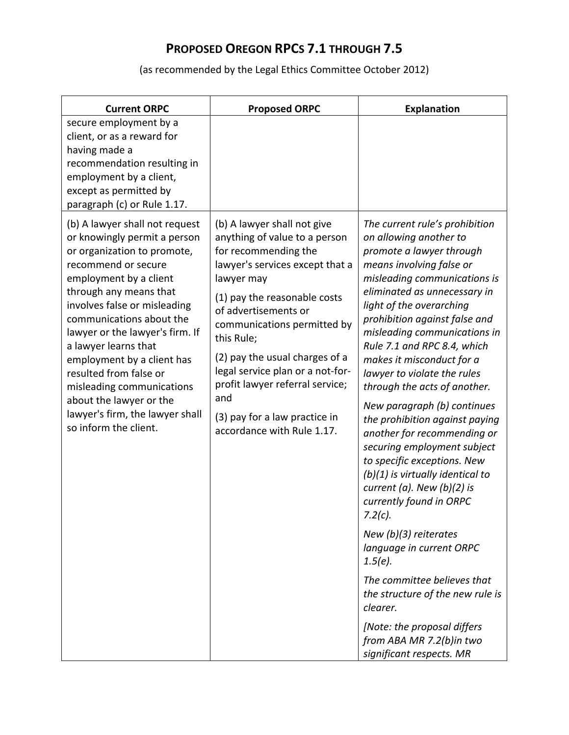| <b>Current ORPC</b>                                                                                                                                                                                                                                                                                                                                                                                                                                                         | <b>Proposed ORPC</b>                                                                                                                                                                                                                                                                                                                                                                                                      | <b>Explanation</b>                                                                                                                                                                                                                                                                                                                                                                                                                                                                                                                                                                                                                                                                                                                                                                                                                                                                                                                |
|-----------------------------------------------------------------------------------------------------------------------------------------------------------------------------------------------------------------------------------------------------------------------------------------------------------------------------------------------------------------------------------------------------------------------------------------------------------------------------|---------------------------------------------------------------------------------------------------------------------------------------------------------------------------------------------------------------------------------------------------------------------------------------------------------------------------------------------------------------------------------------------------------------------------|-----------------------------------------------------------------------------------------------------------------------------------------------------------------------------------------------------------------------------------------------------------------------------------------------------------------------------------------------------------------------------------------------------------------------------------------------------------------------------------------------------------------------------------------------------------------------------------------------------------------------------------------------------------------------------------------------------------------------------------------------------------------------------------------------------------------------------------------------------------------------------------------------------------------------------------|
| secure employment by a<br>client, or as a reward for<br>having made a<br>recommendation resulting in<br>employment by a client,<br>except as permitted by<br>paragraph (c) or Rule 1.17.                                                                                                                                                                                                                                                                                    |                                                                                                                                                                                                                                                                                                                                                                                                                           |                                                                                                                                                                                                                                                                                                                                                                                                                                                                                                                                                                                                                                                                                                                                                                                                                                                                                                                                   |
| (b) A lawyer shall not request<br>or knowingly permit a person<br>or organization to promote,<br>recommend or secure<br>employment by a client<br>through any means that<br>involves false or misleading<br>communications about the<br>lawyer or the lawyer's firm. If<br>a lawyer learns that<br>employment by a client has<br>resulted from false or<br>misleading communications<br>about the lawyer or the<br>lawyer's firm, the lawyer shall<br>so inform the client. | (b) A lawyer shall not give<br>anything of value to a person<br>for recommending the<br>lawyer's services except that a<br>lawyer may<br>(1) pay the reasonable costs<br>of advertisements or<br>communications permitted by<br>this Rule;<br>(2) pay the usual charges of a<br>legal service plan or a not-for-<br>profit lawyer referral service;<br>and<br>(3) pay for a law practice in<br>accordance with Rule 1.17. | The current rule's prohibition<br>on allowing another to<br>promote a lawyer through<br>means involving false or<br>misleading communications is<br>eliminated as unnecessary in<br>light of the overarching<br>prohibition against false and<br>misleading communications in<br>Rule 7.1 and RPC 8.4, which<br>makes it misconduct for a<br>lawyer to violate the rules<br>through the acts of another.<br>New paragraph (b) continues<br>the prohibition against paying<br>another for recommending or<br>securing employment subject<br>to specific exceptions. New<br>$(b)(1)$ is virtually identical to<br>current (a). New $(b)(2)$ is<br>currently found in ORPC<br>$7.2(c)$ .<br>New $(b)(3)$ reiterates<br>language in current ORPC<br>$1.5(e)$ .<br>The committee believes that<br>the structure of the new rule is<br>clearer.<br>[Note: the proposal differs]<br>from ABA MR 7.2(b)in two<br>significant respects. MR |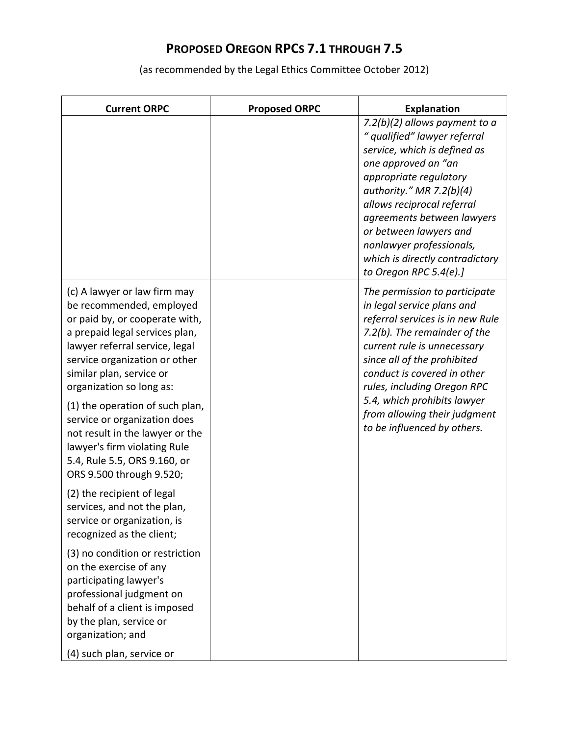| <b>Current ORPC</b>                                                                                                                                                                                                                                                                                                                                                                                                                                       | <b>Proposed ORPC</b> | <b>Explanation</b>                                                                                                                                                                                                                                                                                                                                            |
|-----------------------------------------------------------------------------------------------------------------------------------------------------------------------------------------------------------------------------------------------------------------------------------------------------------------------------------------------------------------------------------------------------------------------------------------------------------|----------------------|---------------------------------------------------------------------------------------------------------------------------------------------------------------------------------------------------------------------------------------------------------------------------------------------------------------------------------------------------------------|
|                                                                                                                                                                                                                                                                                                                                                                                                                                                           |                      | 7.2(b)(2) allows payment to a<br>" qualified" lawyer referral<br>service, which is defined as<br>one approved an "an<br>appropriate regulatory<br>authority." MR 7.2(b)(4)<br>allows reciprocal referral<br>agreements between lawyers<br>or between lawyers and<br>nonlawyer professionals,<br>which is directly contradictory<br>to Oregon RPC 5.4 $(e)$ .] |
| (c) A lawyer or law firm may<br>be recommended, employed<br>or paid by, or cooperate with,<br>a prepaid legal services plan,<br>lawyer referral service, legal<br>service organization or other<br>similar plan, service or<br>organization so long as:<br>(1) the operation of such plan,<br>service or organization does<br>not result in the lawyer or the<br>lawyer's firm violating Rule<br>5.4, Rule 5.5, ORS 9.160, or<br>ORS 9.500 through 9.520; |                      | The permission to participate<br>in legal service plans and<br>referral services is in new Rule<br>7.2(b). The remainder of the<br>current rule is unnecessary<br>since all of the prohibited<br>conduct is covered in other<br>rules, including Oregon RPC<br>5.4, which prohibits lawyer<br>from allowing their judgment<br>to be influenced by others.     |
| (2) the recipient of legal<br>services, and not the plan,<br>service or organization, is<br>recognized as the client;                                                                                                                                                                                                                                                                                                                                     |                      |                                                                                                                                                                                                                                                                                                                                                               |
| (3) no condition or restriction<br>on the exercise of any<br>participating lawyer's<br>professional judgment on<br>behalf of a client is imposed<br>by the plan, service or<br>organization; and<br>(4) such plan, service or                                                                                                                                                                                                                             |                      |                                                                                                                                                                                                                                                                                                                                                               |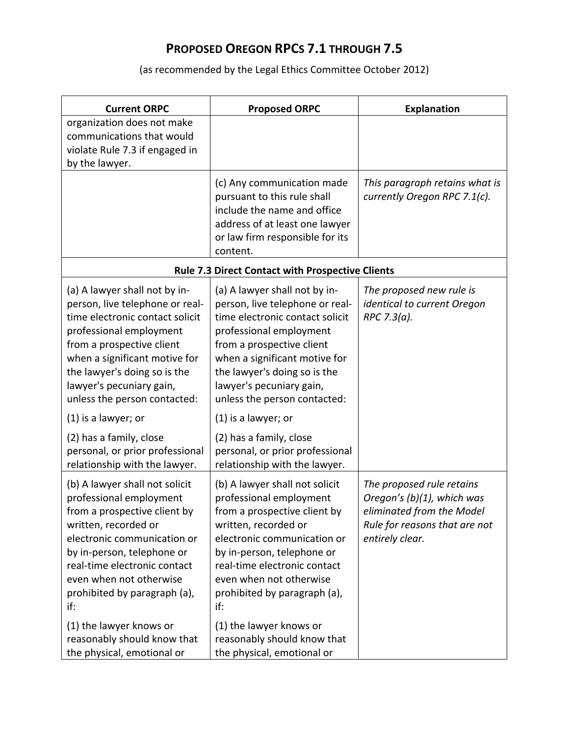| <b>Current ORPC</b>                                                                                                                                                                                                                                                                                                                                                           | <b>Proposed ORPC</b>                                                                                                                                                                                                                                                                                                                                                            | <b>Explanation</b>                                                                                                                       |
|-------------------------------------------------------------------------------------------------------------------------------------------------------------------------------------------------------------------------------------------------------------------------------------------------------------------------------------------------------------------------------|---------------------------------------------------------------------------------------------------------------------------------------------------------------------------------------------------------------------------------------------------------------------------------------------------------------------------------------------------------------------------------|------------------------------------------------------------------------------------------------------------------------------------------|
| organization does not make<br>communications that would<br>violate Rule 7.3 if engaged in<br>by the lawyer.                                                                                                                                                                                                                                                                   |                                                                                                                                                                                                                                                                                                                                                                                 |                                                                                                                                          |
|                                                                                                                                                                                                                                                                                                                                                                               | (c) Any communication made<br>pursuant to this rule shall<br>include the name and office<br>address of at least one lawyer<br>or law firm responsible for its<br>content.                                                                                                                                                                                                       | This paragraph retains what is<br>currently Oregon RPC 7.1(c).                                                                           |
|                                                                                                                                                                                                                                                                                                                                                                               | <b>Rule 7.3 Direct Contact with Prospective Clients</b>                                                                                                                                                                                                                                                                                                                         |                                                                                                                                          |
| (a) A lawyer shall not by in-<br>person, live telephone or real-<br>time electronic contact solicit<br>professional employment<br>from a prospective client<br>when a significant motive for<br>the lawyer's doing so is the<br>lawyer's pecuniary gain,<br>unless the person contacted:<br>(1) is a lawyer; or<br>(2) has a family, close<br>personal, or prior professional | (a) A lawyer shall not by in-<br>person, live telephone or real-<br>time electronic contact solicit<br>professional employment<br>from a prospective client<br>when a significant motive for<br>the lawyer's doing so is the<br>lawyer's pecuniary gain,<br>unless the person contacted:<br>$(1)$ is a lawyer; or<br>(2) has a family, close<br>personal, or prior professional | The proposed new rule is<br>identical to current Oregon<br>RPC 7.3(a).                                                                   |
| relationship with the lawyer.                                                                                                                                                                                                                                                                                                                                                 | relationship with the lawyer.                                                                                                                                                                                                                                                                                                                                                   |                                                                                                                                          |
| (b) A lawyer shall not solicit<br>professional employment<br>from a prospective client by<br>written, recorded or<br>electronic communication or<br>by in-person, telephone or<br>real-time electronic contact<br>even when not otherwise<br>prohibited by paragraph (a),<br>if:                                                                                              | (b) A lawyer shall not solicit<br>professional employment<br>from a prospective client by<br>written, recorded or<br>electronic communication or<br>by in-person, telephone or<br>real-time electronic contact<br>even when not otherwise<br>prohibited by paragraph (a),<br>if:                                                                                                | The proposed rule retains<br>Oregon's (b)(1), which was<br>eliminated from the Model<br>Rule for reasons that are not<br>entirely clear. |
| (1) the lawyer knows or<br>reasonably should know that<br>the physical, emotional or                                                                                                                                                                                                                                                                                          | (1) the lawyer knows or<br>reasonably should know that<br>the physical, emotional or                                                                                                                                                                                                                                                                                            |                                                                                                                                          |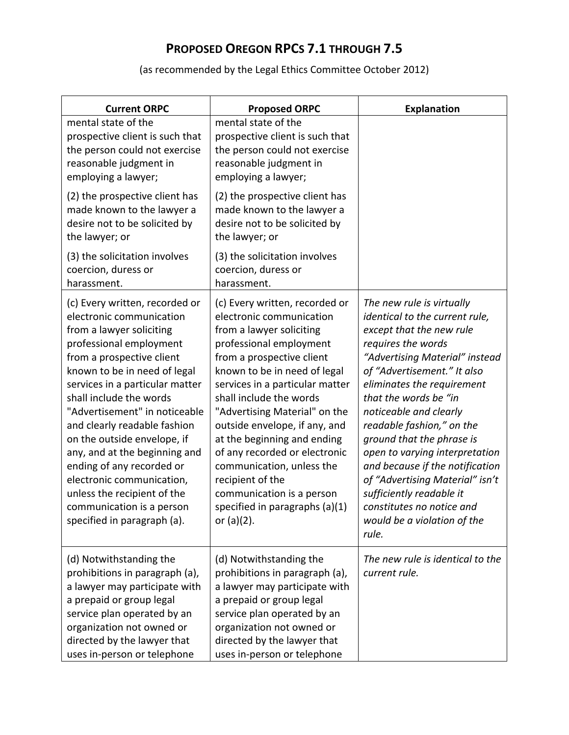| <b>Current ORPC</b>                                                                                                                                                                                                                                                                                                                                                                                                                                                                                                                | <b>Proposed ORPC</b>                                                                                                                                                                                                                                                                                                                                                                                                                                                                                            | <b>Explanation</b>                                                                                                                                                                                                                                                                                                                                                                                                                                                                                                                 |
|------------------------------------------------------------------------------------------------------------------------------------------------------------------------------------------------------------------------------------------------------------------------------------------------------------------------------------------------------------------------------------------------------------------------------------------------------------------------------------------------------------------------------------|-----------------------------------------------------------------------------------------------------------------------------------------------------------------------------------------------------------------------------------------------------------------------------------------------------------------------------------------------------------------------------------------------------------------------------------------------------------------------------------------------------------------|------------------------------------------------------------------------------------------------------------------------------------------------------------------------------------------------------------------------------------------------------------------------------------------------------------------------------------------------------------------------------------------------------------------------------------------------------------------------------------------------------------------------------------|
| mental state of the<br>prospective client is such that<br>the person could not exercise<br>reasonable judgment in<br>employing a lawyer;                                                                                                                                                                                                                                                                                                                                                                                           | mental state of the<br>prospective client is such that<br>the person could not exercise<br>reasonable judgment in<br>employing a lawyer;                                                                                                                                                                                                                                                                                                                                                                        |                                                                                                                                                                                                                                                                                                                                                                                                                                                                                                                                    |
| (2) the prospective client has<br>made known to the lawyer a<br>desire not to be solicited by<br>the lawyer; or                                                                                                                                                                                                                                                                                                                                                                                                                    | (2) the prospective client has<br>made known to the lawyer a<br>desire not to be solicited by<br>the lawyer; or                                                                                                                                                                                                                                                                                                                                                                                                 |                                                                                                                                                                                                                                                                                                                                                                                                                                                                                                                                    |
| (3) the solicitation involves<br>coercion, duress or<br>harassment.                                                                                                                                                                                                                                                                                                                                                                                                                                                                | (3) the solicitation involves<br>coercion, duress or<br>harassment.                                                                                                                                                                                                                                                                                                                                                                                                                                             |                                                                                                                                                                                                                                                                                                                                                                                                                                                                                                                                    |
| (c) Every written, recorded or<br>electronic communication<br>from a lawyer soliciting<br>professional employment<br>from a prospective client<br>known to be in need of legal<br>services in a particular matter<br>shall include the words<br>"Advertisement" in noticeable<br>and clearly readable fashion<br>on the outside envelope, if<br>any, and at the beginning and<br>ending of any recorded or<br>electronic communication,<br>unless the recipient of the<br>communication is a person<br>specified in paragraph (a). | (c) Every written, recorded or<br>electronic communication<br>from a lawyer soliciting<br>professional employment<br>from a prospective client<br>known to be in need of legal<br>services in a particular matter<br>shall include the words<br>"Advertising Material" on the<br>outside envelope, if any, and<br>at the beginning and ending<br>of any recorded or electronic<br>communication, unless the<br>recipient of the<br>communication is a person<br>specified in paragraphs (a)(1)<br>or $(a)(2)$ . | The new rule is virtually<br>identical to the current rule,<br>except that the new rule<br>requires the words<br>"Advertising Material" instead<br>of "Advertisement." It also<br>eliminates the requirement<br>that the words be "in<br>noticeable and clearly<br>readable fashion," on the<br>ground that the phrase is<br>open to varying interpretation<br>and because if the notification<br>of "Advertising Material" isn't<br>sufficiently readable it<br>constitutes no notice and<br>would be a violation of the<br>rule. |
| (d) Notwithstanding the<br>prohibitions in paragraph (a),<br>a lawyer may participate with<br>a prepaid or group legal<br>service plan operated by an<br>organization not owned or<br>directed by the lawyer that<br>uses in-person or telephone                                                                                                                                                                                                                                                                                   | (d) Notwithstanding the<br>prohibitions in paragraph (a),<br>a lawyer may participate with<br>a prepaid or group legal<br>service plan operated by an<br>organization not owned or<br>directed by the lawyer that<br>uses in-person or telephone                                                                                                                                                                                                                                                                | The new rule is identical to the<br>current rule.                                                                                                                                                                                                                                                                                                                                                                                                                                                                                  |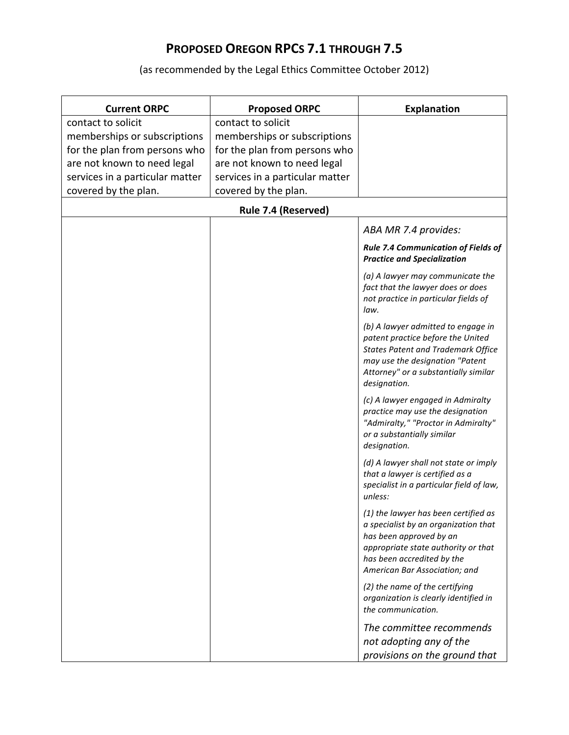| <b>Current ORPC</b>             | <b>Proposed ORPC</b>            | <b>Explanation</b>                                                                                                                                                                                              |
|---------------------------------|---------------------------------|-----------------------------------------------------------------------------------------------------------------------------------------------------------------------------------------------------------------|
| contact to solicit              | contact to solicit              |                                                                                                                                                                                                                 |
| memberships or subscriptions    | memberships or subscriptions    |                                                                                                                                                                                                                 |
| for the plan from persons who   | for the plan from persons who   |                                                                                                                                                                                                                 |
| are not known to need legal     | are not known to need legal     |                                                                                                                                                                                                                 |
| services in a particular matter | services in a particular matter |                                                                                                                                                                                                                 |
| covered by the plan.            | covered by the plan.            |                                                                                                                                                                                                                 |
|                                 | Rule 7.4 (Reserved)             |                                                                                                                                                                                                                 |
|                                 |                                 | ABA MR 7.4 provides:                                                                                                                                                                                            |
|                                 |                                 | <b>Rule 7.4 Communication of Fields of</b><br><b>Practice and Specialization</b>                                                                                                                                |
|                                 |                                 | (a) A lawyer may communicate the<br>fact that the lawyer does or does<br>not practice in particular fields of<br>law.                                                                                           |
|                                 |                                 | (b) A lawyer admitted to engage in<br>patent practice before the United<br><b>States Patent and Trademark Office</b><br>may use the designation "Patent<br>Attorney" or a substantially similar<br>designation. |
|                                 |                                 | (c) A lawyer engaged in Admiralty<br>practice may use the designation<br>"Admiralty," "Proctor in Admiralty"<br>or a substantially similar<br>designation.                                                      |
|                                 |                                 | (d) A lawyer shall not state or imply<br>that a lawyer is certified as a<br>specialist in a particular field of law,<br>unless:                                                                                 |
|                                 |                                 | (1) the lawyer has been certified as<br>a specialist by an organization that<br>has been approved by an<br>appropriate state authority or that<br>has been accredited by the<br>American Bar Association; and   |
|                                 |                                 | (2) the name of the certifying<br>organization is clearly identified in<br>the communication.                                                                                                                   |
|                                 |                                 | The committee recommends<br>not adopting any of the<br>provisions on the ground that                                                                                                                            |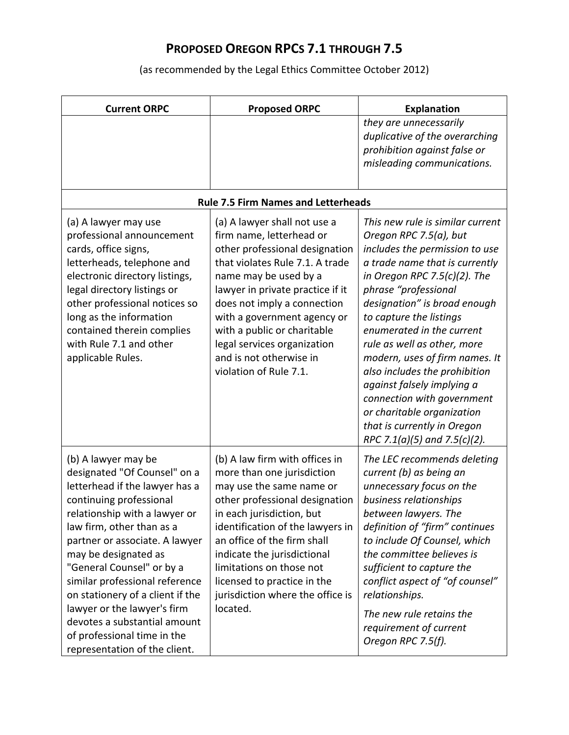| <b>Current ORPC</b>                                                                                                                                                                                                                                                                                                                                                                                                                                                        | <b>Proposed ORPC</b>                                                                                                                                                                                                                                                                                                                                                        | <b>Explanation</b>                                                                                                                                                                                                                                                                                                                                                                                                                                                                                                                        |
|----------------------------------------------------------------------------------------------------------------------------------------------------------------------------------------------------------------------------------------------------------------------------------------------------------------------------------------------------------------------------------------------------------------------------------------------------------------------------|-----------------------------------------------------------------------------------------------------------------------------------------------------------------------------------------------------------------------------------------------------------------------------------------------------------------------------------------------------------------------------|-------------------------------------------------------------------------------------------------------------------------------------------------------------------------------------------------------------------------------------------------------------------------------------------------------------------------------------------------------------------------------------------------------------------------------------------------------------------------------------------------------------------------------------------|
|                                                                                                                                                                                                                                                                                                                                                                                                                                                                            |                                                                                                                                                                                                                                                                                                                                                                             | they are unnecessarily<br>duplicative of the overarching<br>prohibition against false or<br>misleading communications.                                                                                                                                                                                                                                                                                                                                                                                                                    |
|                                                                                                                                                                                                                                                                                                                                                                                                                                                                            | <b>Rule 7.5 Firm Names and Letterheads</b>                                                                                                                                                                                                                                                                                                                                  |                                                                                                                                                                                                                                                                                                                                                                                                                                                                                                                                           |
| (a) A lawyer may use<br>professional announcement<br>cards, office signs,<br>letterheads, telephone and<br>electronic directory listings,<br>legal directory listings or<br>other professional notices so<br>long as the information<br>contained therein complies<br>with Rule 7.1 and other<br>applicable Rules.                                                                                                                                                         | (a) A lawyer shall not use a<br>firm name, letterhead or<br>other professional designation<br>that violates Rule 7.1. A trade<br>name may be used by a<br>lawyer in private practice if it<br>does not imply a connection<br>with a government agency or<br>with a public or charitable<br>legal services organization<br>and is not otherwise in<br>violation of Rule 7.1. | This new rule is similar current<br>Oregon RPC 7.5(a), but<br>includes the permission to use<br>a trade name that is currently<br>in Oregon RPC 7.5(c)(2). The<br>phrase "professional<br>designation" is broad enough<br>to capture the listings<br>enumerated in the current<br>rule as well as other, more<br>modern, uses of firm names. It<br>also includes the prohibition<br>against falsely implying a<br>connection with government<br>or charitable organization<br>that is currently in Oregon<br>RPC 7.1(a)(5) and 7.5(c)(2). |
| (b) A lawyer may be<br>designated "Of Counsel" on a<br>letterhead if the lawyer has a<br>continuing professional<br>relationship with a lawyer or<br>law firm, other than as a<br>partner or associate. A lawyer<br>may be designated as<br>"General Counsel" or by a<br>similar professional reference<br>on stationery of a client if the<br>lawyer or the lawyer's firm<br>devotes a substantial amount<br>of professional time in the<br>representation of the client. | (b) A law firm with offices in<br>more than one jurisdiction<br>may use the same name or<br>other professional designation<br>in each jurisdiction, but<br>identification of the lawyers in<br>an office of the firm shall<br>indicate the jurisdictional<br>limitations on those not<br>licensed to practice in the<br>jurisdiction where the office is<br>located.        | The LEC recommends deleting<br>current (b) as being an<br>unnecessary focus on the<br>business relationships<br>between lawyers. The<br>definition of "firm" continues<br>to include Of Counsel, which<br>the committee believes is<br>sufficient to capture the<br>conflict aspect of "of counsel"<br>relationships.<br>The new rule retains the<br>requirement of current<br>Oregon RPC 7.5(f).                                                                                                                                         |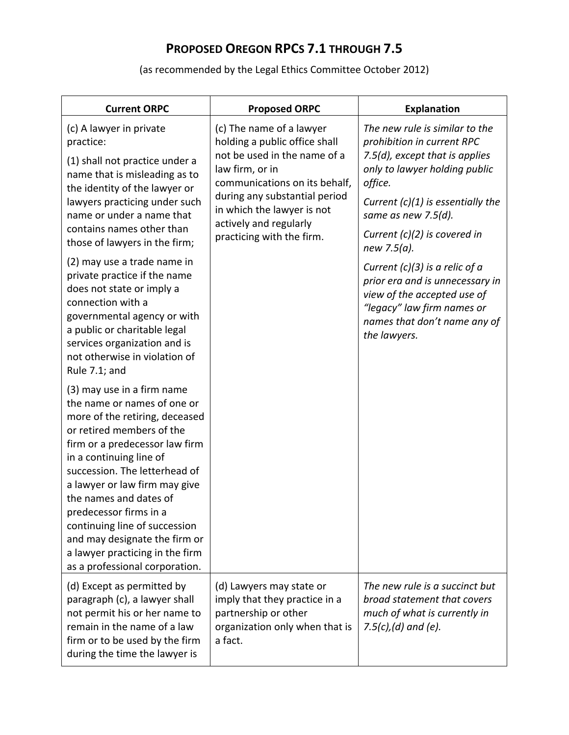| <b>Current ORPC</b>                                                                                                                                                                                                                                                                                                                                                                                                                                | <b>Proposed ORPC</b>                                                                                                                                                                                                                                                | <b>Explanation</b>                                                                                                                                                                                                                                               |
|----------------------------------------------------------------------------------------------------------------------------------------------------------------------------------------------------------------------------------------------------------------------------------------------------------------------------------------------------------------------------------------------------------------------------------------------------|---------------------------------------------------------------------------------------------------------------------------------------------------------------------------------------------------------------------------------------------------------------------|------------------------------------------------------------------------------------------------------------------------------------------------------------------------------------------------------------------------------------------------------------------|
| (c) A lawyer in private<br>practice:<br>(1) shall not practice under a<br>name that is misleading as to<br>the identity of the lawyer or<br>lawyers practicing under such<br>name or under a name that<br>contains names other than<br>those of lawyers in the firm;                                                                                                                                                                               | (c) The name of a lawyer<br>holding a public office shall<br>not be used in the name of a<br>law firm, or in<br>communications on its behalf,<br>during any substantial period<br>in which the lawyer is not<br>actively and regularly<br>practicing with the firm. | The new rule is similar to the<br>prohibition in current RPC<br>7.5(d), except that is applies<br>only to lawyer holding public<br>office.<br>Current $(c)(1)$ is essentially the<br>same as new 7.5 $(d)$ .<br>Current $(c)(2)$ is covered in<br>new $7.5(a)$ . |
| (2) may use a trade name in<br>private practice if the name<br>does not state or imply a<br>connection with a<br>governmental agency or with<br>a public or charitable legal<br>services organization and is<br>not otherwise in violation of<br>Rule 7.1; and                                                                                                                                                                                     |                                                                                                                                                                                                                                                                     | Current $(c)(3)$ is a relic of a<br>prior era and is unnecessary in<br>view of the accepted use of<br>"legacy" law firm names or<br>names that don't name any of<br>the lawyers.                                                                                 |
| (3) may use in a firm name<br>the name or names of one or<br>more of the retiring, deceased<br>or retired members of the<br>firm or a predecessor law firm<br>in a continuing line of<br>succession. The letterhead of<br>a lawyer or law firm may give<br>the names and dates of<br>predecessor firms in a<br>continuing line of succession<br>and may designate the firm or<br>a lawyer practicing in the firm<br>as a professional corporation. |                                                                                                                                                                                                                                                                     |                                                                                                                                                                                                                                                                  |
| (d) Except as permitted by<br>paragraph (c), a lawyer shall<br>not permit his or her name to<br>remain in the name of a law<br>firm or to be used by the firm<br>during the time the lawyer is                                                                                                                                                                                                                                                     | (d) Lawyers may state or<br>imply that they practice in a<br>partnership or other<br>organization only when that is<br>a fact.                                                                                                                                      | The new rule is a succinct but<br>broad statement that covers<br>much of what is currently in<br>7.5 $(c)$ , $(d)$ and $(e)$ .                                                                                                                                   |